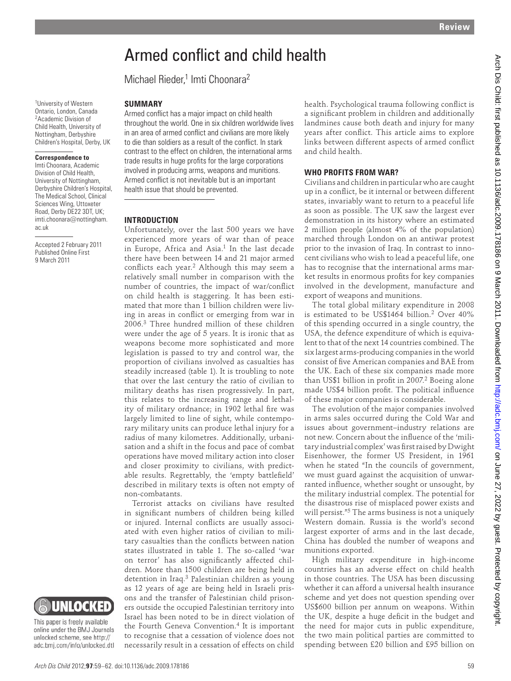# Armed conflict and child health

Michael Rieder,<sup>1</sup> Imti Choonara<sup>2</sup>

1 University of Western Ontario, London, Canada 2 Academic Division of Child Health, University of Nottingham, Derbyshire Children's Hospital, Derby, UK

#### **Correspondence to**

 Imti Choonara, Academic Division of Child Health, University of Nottingham, Derbyshire Children's Hospital, The Medical School, Clinical Sciences Wing, Uttoxeter Road, Derby DE22 3DT, UK; imti.choonara@nottingham. ac.uk

Accepted 2 February 2011 Published Online First 9 March 2011

#### **SUMMARY**

Armed conflict has a major impact on child health throughout the world. One in six children worldwide lives in an area of armed conflict and civilians are more likely to die than soldiers as a result of the conflict. In stark contrast to the effect on children, the international arms trade results in huge profits for the large corporations involved in producing arms, weapons and munitions. Armed conflict is not inevitable but is an important health issue that should be prevented.

#### **INTRODUCTION**

Unfortunately, over the last 500 years we have experienced more years of war than of peace in Europe, Africa and Asia.<sup>1</sup> In the last decade there have been between 14 and 21 major armed conflicts each year.<sup>2</sup> Although this may seem a relatively small number in comparison with the number of countries, the impact of war/conflict on child health is staggering. It has been estimated that more than 1 billion children were living in areas in conflict or emerging from war in 2006.<sup>3</sup> Three hundred million of these children were under the age of 5 years. It is ironic that as weapons become more sophisticated and more legislation is passed to try and control war, the proportion of civilians involved as casualties has steadily increased (table 1). It is troubling to note that over the last century the ratio of civilian to military deaths has risen progressively. In part, this relates to the increasing range and lethality of military ordnance; in 1902 lethal fire was largely limited to line of sight, while contemporary military units can produce lethal injury for a radius of many kilometres. Additionally, urbanisation and a shift in the focus and pace of combat operations have moved military action into closer and closer proximity to civilians, with predictable results. Regrettably, the 'empty battlefield' described in military texts is often not empty of non-combatants. **EXERCT CONTROL CONTROL CONTROL CONTROL CONTROL CONTROL CONTROL CONTROL CONTROL CONTROL CONTROL CONTROL CONTROL CONTROL CONTROL CONTROL CONTROL CONTROL CONTROL CONTROL CONTROL CONTROL CONTROL CONTROL CONTROL CONTROL CONTR** 

Terrorist attacks on civilians have resulted in significant numbers of children being killed or injured. Internal conflicts are usually associated with even higher ratios of civilian to military casualties than the conflicts between nation states illustrated in table 1. The so-called 'war on terror' has also significantly affected children. More than 1500 children are being held in detention in Iraq.<sup>3</sup> Palestinian children as young as 12 years of age are being held in Israeli prisons and the transfer of Palestinian child prisoners outside the occupied Palestinian territory into Israel has been noted to be in direct violation of the Fourth Geneva Convention. 4 It is important to recognise that a cessation of violence does not necessarily result in a cessation of effects on child

health. Psychological trauma following conflict is a significant problem in children and additionally landmines cause both death and injury for many years after conflict. This article aims to explore links between different aspects of armed conflict and child health.

#### **WHO PROFITS FROM WAR?**

Civilians and children in particular who are caught up in a conflict, be it internal or between different states, invariably want to return to a peaceful life as soon as possible. The UK saw the largest ever demonstration in its history where an estimated 2 million people (almost 4% of the population) marched through London on an antiwar protest prior to the invasion of Iraq. In contrast to innocent civilians who wish to lead a peaceful life, one has to recognise that the international arms market results in enormous profits for key companies involved in the development, manufacture and export of weapons and munitions.

The total global military expenditure in 2008 is estimated to be US\$1464 billion.<sup>2</sup> Over 40% of this spending occurred in a single country, the USA, the defence expenditure of which is equivalent to that of the next 14 countries combined. The six largest arms-producing companies in the world consist of five American companies and BAE from the UK. Each of these six companies made more than US\$1 billion in profit in 2007.<sup>2</sup> Boeing alone made US\$4 billion profit. The political influence of these major companies is considerable.

The evolution of the major companies involved in arms sales occurred during the Cold War and issues about government–industry relations are not new. Concern about the influence of the 'military industrial complex' was first raised by Dwight Eisenhower, the former US President, in 1961 when he stated "In the councils of government, we must guard against the acquisition of unwarranted influence, whether sought or unsought, by the military industrial complex. The potential for the disastrous rise of misplaced power exists and will persist."5 The arms business is not a uniquely Western domain. Russia is the world's second largest exporter of arms and in the last decade, China has doubled the number of weapons and munitions exported.

High military expenditure in high-income countries has an adverse effect on child health in those countries. The USA has been discussing whether it can afford a universal health insurance scheme and yet does not question spending over US\$600 billion per annum on weapons. Within the UK, despite a huge deficit in the budget and the need for major cuts in public expenditure, the two main political parties are committed to spending between £20 billion and £95 billion on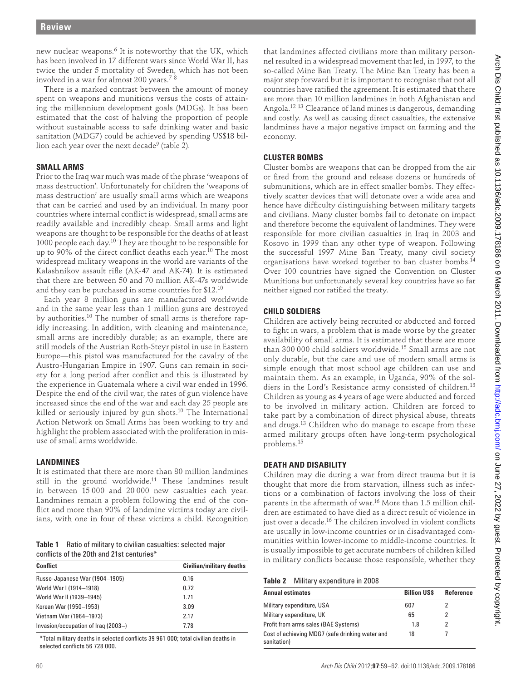new nuclear weapons.<sup>6</sup> It is noteworthy that the UK, which has been involved in 17 different wars since World War II, has twice the under 5 mortality of Sweden, which has not been involved in a war for almost 200 years. $7\,$   $^8$ 

There is a marked contrast between the amount of money spent on weapons and munitions versus the costs of attaining the millennium development goals (MDGs). It has been estimated that the cost of halving the proportion of people without sustainable access to safe drinking water and basic sanitation (MDG7) could be achieved by spending US\$18 billion each year over the next decade<sup>9</sup> (table 2).

#### **SMALL ARMS**

Prior to the Iraq war much was made of the phrase 'weapons of mass destruction'. Unfortunately for children the 'weapons of mass destruction' are usually small arms which are weapons that can be carried and used by an individual. In many poor countries where internal conflict is widespread, small arms are readily available and incredibly cheap. Small arms and light weapons are thought to be responsible for the deaths of at least 1000 people each day.<sup>10</sup> They are thought to be responsible for up to 90% of the direct conflict deaths each year.<sup>10</sup> The most widespread military weapons in the world are variants of the Kalashnikov assault rifle (AK-47 and AK-74). It is estimated that there are between 50 and 70 million AK-47s worldwide and they can be purchased in some countries for \$12. 10

Each year 8 million guns are manufactured worldwide and in the same year less than 1 million guns are destroyed by authorities. 10 The number of small arms is therefore rapidly increasing. In addition, with cleaning and maintenance, small arms are incredibly durable; as an example, there are still models of the Austrian Roth-Steyr pistol in use in Eastern Europe—this pistol was manufactured for the cavalry of the Austro-Hungarian Empire in 1907. Guns can remain in society for a long period after conflict and this is illustrated by the experience in Guatemala where a civil war ended in 1996. Despite the end of the civil war, the rates of gun violence have increased since the end of the war and each day 25 people are killed or seriously injured by gun shots.<sup>10</sup> The International Action Network on Small Arms has been working to try and highlight the problem associated with the proliferation in misuse of small arms worldwide. has the control of the state of the state of the state of the state of the state of the state of the state of the state of the state of the state of the state of the state of the state of the state of the state of the s

# **LANDMINES**

It is estimated that there are more than 80 million landmines still in the ground worldwide.<sup>11</sup> These landmines result in between 15 000 and 20 000 new casualties each year. Landmines remain a problem following the end of the conflict and more than 90% of landmine victims today are civilians, with one in four of these victims a child. Recognition

**Table 1** Ratio of military to civilian casualties: selected major conflicts of the 20th and 21st centuries\*

| <b>Conflict</b>                     | <b>Civilian/military deaths</b> |  |
|-------------------------------------|---------------------------------|--|
| Russo-Japanese War (1904–1905)      | 0.16                            |  |
| World War I (1914-1918)             | 0.72                            |  |
| World War II (1939-1945)            | 1.71                            |  |
| Korean War (1950–1953)              | 3.09                            |  |
| Vietnam War (1964–1973)             | 2.17                            |  |
| Invasion/occupation of Iraq (2003-) | 7.78                            |  |

 \*Total military deaths in selected confl icts 39 961 000; total civilian deaths in selected conflicts 56 728 000.

that landmines affected civilians more than military personnel resulted in a widespread movement that led, in 1997, to the so-called Mine Ban Treaty. The Mine Ban Treaty has been a major step forward but it is important to recognise that not all countries have ratified the agreement. It is estimated that there are more than 10 million landmines in both Afghanistan and Angola.<sup>12 13</sup> Clearance of land mines is dangerous, demanding and costly. As well as causing direct casualties, the extensive landmines have a major negative impact on farming and the economy.

# **CLUSTER BOMBS**

Cluster bombs are weapons that can be dropped from the air or fired from the ground and release dozens or hundreds of submunitions, which are in effect smaller bombs. They effectively scatter devices that will detonate over a wide area and hence have difficulty distinguishing between military targets and civilians. Many cluster bombs fail to detonate on impact and therefore become the equivalent of landmines. They were responsible for more civilian casualties in Iraq in 2003 and Kosovo in 1999 than any other type of weapon. Following the successful 1997 Mine Ban Treaty, many civil society organisations have worked together to ban cluster bombs.<sup>14</sup> Over 100 countries have signed the Convention on Cluster Munitions but unfortunately several key countries have so far neither signed nor ratified the treaty.

# **CHILD SOLDIERS**

Children are actively being recruited or abducted and forced to fight in wars, a problem that is made worse by the greater availability of small arms. It is estimated that there are more than 300 000 child soldiers worldwide. 15 Small arms are not only durable, but the care and use of modern small arms is simple enough that most school age children can use and maintain them. As an example, in Uganda, 90% of the soldiers in the Lord's Resistance army consisted of children.<sup>13</sup> Children as young as 4 years of age were abducted and forced to be involved in military action. Children are forced to take part by a combination of direct physical abuse, threats and drugs.<sup>13</sup> Children who do manage to escape from these armed military groups often have long-term psychological problems. 15

# **DEATH AND DISABILITY**

Children may die during a war from direct trauma but it is thought that more die from starvation, illness such as infections or a combination of factors involving the loss of their parents in the aftermath of war.<sup>16</sup> More than 1.5 million children are estimated to have died as a direct result of violence in just over a decade.<sup>16</sup> The children involved in violent conflicts are usually in low-income countries or in disadvantaged communities within lower-income to middle-income countries. It is usually impossible to get accurate numbers of children killed in military conflicts because those responsible, whether they

#### **Table 2** Military expenditure in 2008

| <b>Annual estimates</b>                                        | <b>Billion USS</b> | Reference |
|----------------------------------------------------------------|--------------------|-----------|
| Military expenditure, USA                                      | 607                |           |
| Military expenditure, UK                                       | 65                 |           |
| Profit from arms sales (BAE Systems)                           | 1.8                |           |
| Cost of achieving MDG7 (safe drinking water and<br>sanitation) | 18                 |           |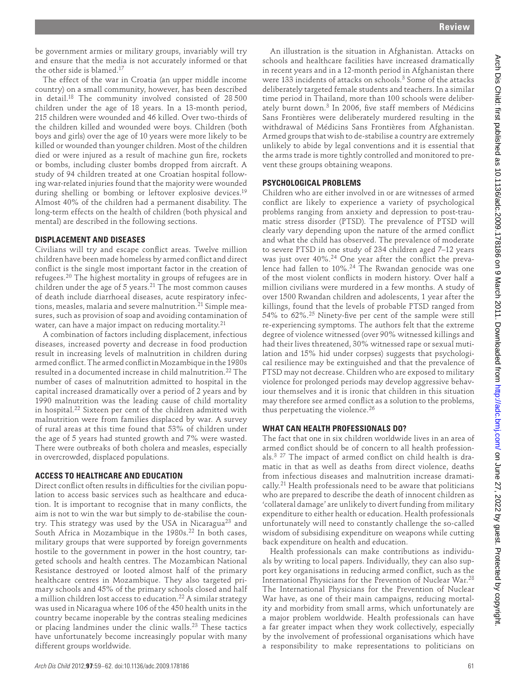be government armies or military groups, invariably will try and ensure that the media is not accurately informed or that the other side is blamed. 17

The effect of the war in Croatia (an upper middle income country) on a small community, however, has been described in detail. 18 The community involved consisted of 28 500 children under the age of 18 years. In a 13-month period, 215 children were wounded and 46 killed. Over two-thirds of the children killed and wounded were boys. Children (both boys and girls) over the age of 10 years were more likely to be killed or wounded than younger children. Most of the children died or were injured as a result of machine gun fire, rockets or bombs, including cluster bombs dropped from aircraft. A study of 94 children treated at one Croatian hospital following war-related injuries found that the majority were wounded during shelling or bombing or leftover explosive devices.<sup>19</sup> Almost 40% of the children had a permanent disability. The long-term effects on the health of children (both physical and mental) are described in the following sections.

#### **DISPLACEMENT AND DISEASES**

Civilians will try and escape conflict areas. Twelve million children have been made homeless by armed confl ict and direct conflict is the single most important factor in the creation of refugees. 20 The highest mortality in groups of refugees are in children under the age of 5 years. 21 The most common causes of death include diarrhoeal diseases, acute respiratory infections, measles, malaria and severe malnutrition. 21 Simple measures, such as provision of soap and avoiding contamination of water, can have a major impact on reducing mortality.<sup>21</sup>

A combination of factors including displacement, infectious diseases, increased poverty and decrease in food production result in increasing levels of malnutrition in children during armed conflict. The armed conflict in Mozambique in the 1980s resulted in a documented increase in child malnutrition. 22 The number of cases of malnutrition admitted to hospital in the capital increased dramatically over a period of 2 years and by 1990 malnutrition was the leading cause of child mortality in hospital.<sup>22</sup> Sixteen per cent of the children admitted with malnutrition were from families displaced by war. A survey of rural areas at this time found that 53% of children under the age of 5 years had stunted growth and 7% were wasted. There were outbreaks of both cholera and measles, especially in overcrowded, displaced populations.

# **ACCESS TO HEALTHCARE AND EDUCATION**

Direct conflict often results in difficulties for the civilian population to access basic services such as healthcare and education. It is important to recognise that in many conflicts, the aim is not to win the war but simply to de-stabilise the country. This strategy was used by the USA in Nicaragua<sup>23</sup> and South Africa in Mozambique in the 1980s.<sup>22</sup> In both cases, military groups that were supported by foreign governments hostile to the government in power in the host country, targeted schools and health centres. The Mozambican National Resistance destroyed or looted almost half of the primary healthcare centres in Mozambique. They also targeted primary schools and 45% of the primary schools closed and half a million children lost access to education. 22 A similar strategy was used in Nicaragua where 106 of the 450 health units in the country became inoperable by the contras stealing medicines or placing landmines under the clinic walls.<sup>23</sup> These tactics have unfortunately become increasingly popular with many different groups worldwide.

An illustration is the situation in Afghanistan. Attacks on schools and healthcare facilities have increased dramatically in recent years and in a 12-month period in Afghanistan there were 133 incidents of attacks on schools. 3 Some of the attacks deliberately targeted female students and teachers. In a similar time period in Thailand, more than 100 schools were deliberately burnt down.<sup>3</sup> In 2006, five staff members of Médicins Sans Frontières were deliberately murdered resulting in the withdrawal of Médicins Sans Frontières from Afghanistan. Armed groups that wish to de-stabilise a country are extremely unlikely to abide by legal conventions and it is essential that the arms trade is more tightly controlled and monitored to prevent these groups obtaining weapons.

# **PSYCHOLOGICAL PROBLEMS**

Children who are either involved in or are witnesses of armed conflict are likely to experience a variety of psychological problems ranging from anxiety and depression to post-traumatic stress disorder (PTSD). The prevalence of PTSD will clearly vary depending upon the nature of the armed conflict and what the child has observed. The prevalence of moderate to severe PTSD in one study of 234 children aged 7–12 years was just over 40%.<sup>24</sup> One year after the conflict the prevalence had fallen to 10%. 24 The Rwandan genocide was one of the most violent conflicts in modern history. Over half a million civilians were murdered in a few months. A study of over 1500 Rwandan children and adolescents, 1 year after the killings, found that the levels of probable PTSD ranged from 54% to  $62\%$ .<sup>25</sup> Ninety-five per cent of the sample were still re- experiencing symptoms. The authors felt that the extreme degree of violence witnessed (over 90% witnessed killings and had their lives threatened, 30% witnessed rape or sexual mutilation and 15% hid under corpses) suggests that psychological resilience may be extinguished and that the prevalence of PTSD may not decrease. Children who are exposed to military violence for prolonged periods may develop aggressive behaviour themselves and it is ironic that children in this situation may therefore see armed conflict as a solution to the problems, thus perpetuating the violence. 26 No.13818 arch and the state of the state of the state of the state of the state of the state of the state of the state of the state of the state of the state of the state of the state of the state of the state of the state

# **WHAT CAN HEALTH PROFESSIONALS DO?**

The fact that one in six children worldwide lives in an area of armed conflict should be of concern to all health professionals. $3$   $27$  The impact of armed conflict on child health is dramatic in that as well as deaths from direct violence, deaths from infectious diseases and malnutrition increase dramatically. 21 Health professionals need to be aware that politicians who are prepared to describe the death of innocent children as 'collateral damage' are unlikely to divert funding from military expenditure to either health or education. Health professionals unfortunately will need to constantly challenge the so-called wisdom of subsidising expenditure on weapons while cutting back expenditure on health and education.

Health professionals can make contributions as individuals by writing to local papers. Individually, they can also support key organisations in reducing armed conflict, such as the International Physicians for the Prevention of Nuclear War. 28 The International Physicians for the Prevention of Nuclear War have, as one of their main campaigns, reducing mortality and morbidity from small arms, which unfortunately are a major problem worldwide. Health professionals can have a far greater impact when they work collectively, especially by the involvement of professional organisations which have a responsibility to make representations to politicians on